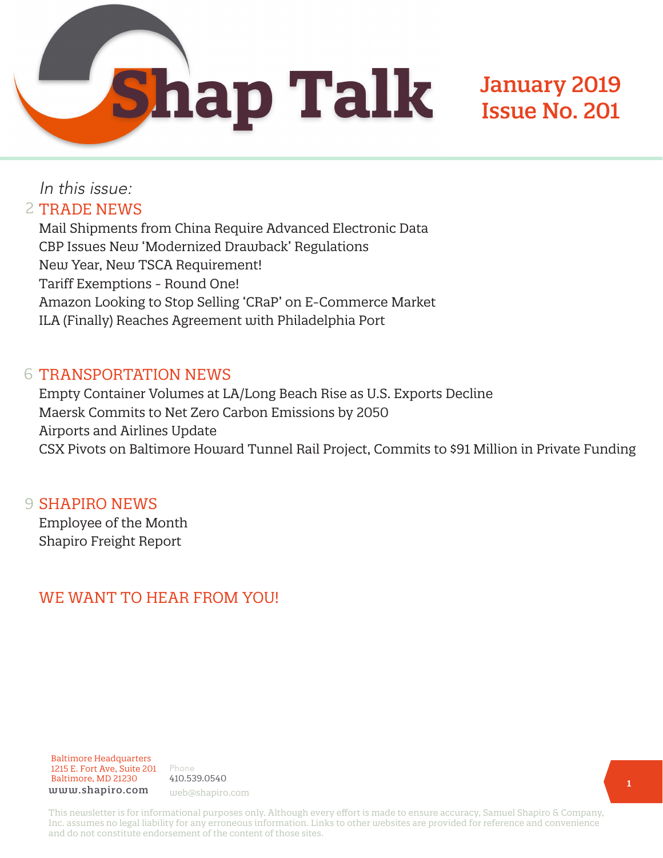**Shap Talk** 

## January 2019 Issue No. 201

## In this issue: 2 TRADE NEWS

Mail Shipments from China Require Advanced Electronic Data CBP Issues New 'Modernized Drawback' Regulations New Year, New TSCA Requirement! Tariff Exemptions - Round One! Amazon Looking to Stop Selling 'CRaP' on E-Commerce Market ILA (Finally) Reaches Agreement with Philadelphia Port

#### 6 TRANSPORTATION NEWS

Empty Container Volumes at LA/Long Beach Rise as U.S. Exports Decline Maersk Commits to Net Zero Carbon Emissions by 2050 Airports and Airlines Update CSX Pivots on Baltimore Howard Tunnel Rail Project, Commits to \$91 Million in Private Funding

### 9 **SHAPIRO NEWS**

Employee of the Month Shapiro Freight Report

## WE WANT TO HEAR FROM YOU!

#### Baltimore Headquarters 1215 E. Fort Ave, Suite 201 Baltimore, MD 21230 www.shapiro.com web@shapiro.com

Phone 410.539.0540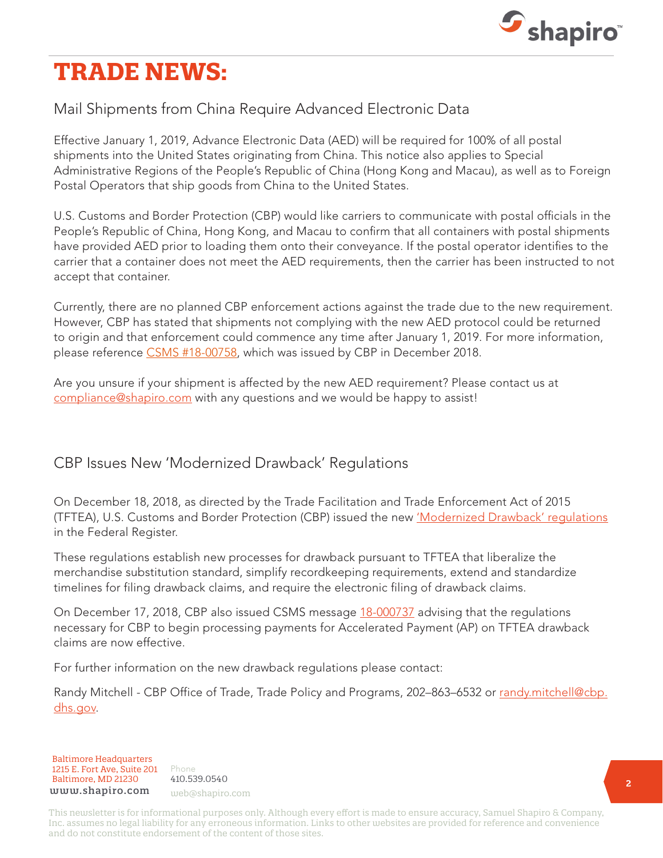

## **TRADE NEWS:**

## Mail Shipments from China Require Advanced Electronic Data

Effective January 1, 2019, Advance Electronic Data (AED) will be required for 100% of all postal shipments into the United States originating from China. This notice also applies to Special Administrative Regions of the People's Republic of China (Hong Kong and Macau), as well as to Foreign Postal Operators that ship goods from China to the United States.

U.S. Customs and Border Protection (CBP) would like carriers to communicate with postal officials in the People's Republic of China, Hong Kong, and Macau to confirm that all containers with postal shipments have provided AED prior to loading them onto their conveyance. If the postal operator identifies to the carrier that a container does not meet the AED requirements, then the carrier has been instructed to not accept that container.

Currently, there are no planned CBP enforcement actions against the trade due to the new requirement. However, CBP has stated that shipments not complying with the new AED protocol could be returned to origin and that enforcement could commence any time after January 1, 2019. For more information, please reference [CSMS #18-00758,](https://csms.cbp.gov/viewmssg.asp?Recid=23971&page=&srch_argv=mail&srchtype=&btype=&sortby=&sby=) which was issued by CBP in December 2018.

Are you unsure if your shipment is affected by the new AED requirement? Please contact us at [compliance@shapiro.com](mailto:compliance%40shapiro.com?subject=) with any questions and we would be happy to assist!

## CBP Issues New 'Modernized Drawback' Regulations

On December 18, 2018, as directed by the Trade Facilitation and Trade Enforcement Act of 2015 (TFTEA), U.S. Customs and Border Protection (CBP) issued the new ['Modernized Drawback' regulations](https://www.federalregister.gov/documents/2018/12/18/2018-26793/modernized-drawback) in the Federal Register.

These regulations establish new processes for drawback pursuant to TFTEA that liberalize the merchandise substitution standard, simplify recordkeeping requirements, extend and standardize timelines for filing drawback claims, and require the electronic filing of drawback claims.

On December 17, 2018, CBP also issued CSMS message [18-000737](https://csms.cbp.gov/viewmssg.asp?Recid=23949&page=&srch_argv=accelerated%20&srchtype=&btype=&sortby=&sby=) advising that the regulations necessary for CBP to begin processing payments for Accelerated Payment (AP) on TFTEA drawback claims are now effective.

For further information on the new drawback regulations please contact:

Randy Mitchell - CBP Office of Trade, Trade Policy and Programs, 202-863-6532 or [randy.mitchell@cbp.](mailto:%20randy.mitchell%40cbp.dhs.gov?subject=) [dhs.gov](mailto:%20randy.mitchell%40cbp.dhs.gov?subject=).

Baltimore Headquarters Baltimore Headquarters 1215 E. Fort Ave, Suite 201 www.shapiro.com web@shapiro.com Baltimore, MD 21230

Phone Phone rnone<br>410.539.0540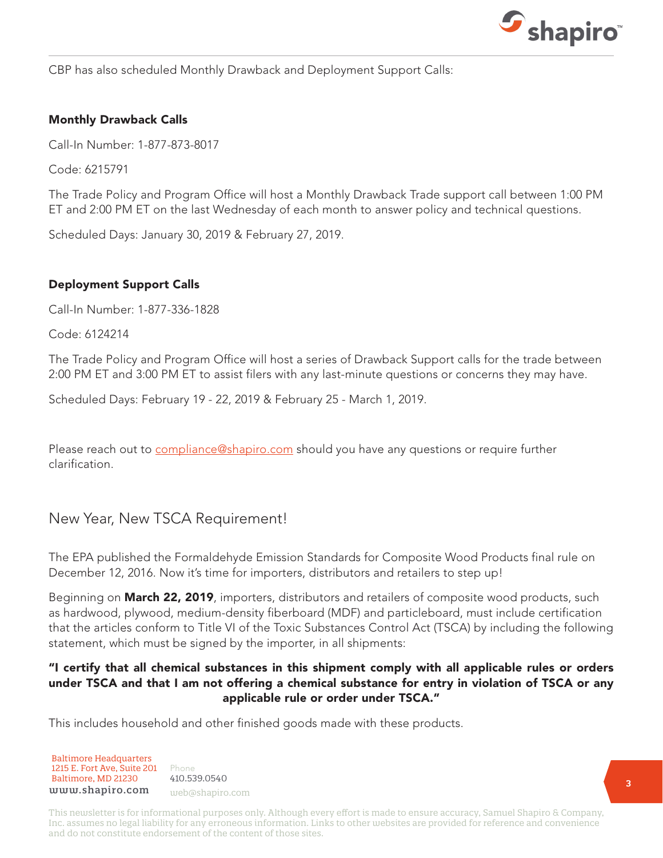

CBP has also scheduled Monthly Drawback and Deployment Support Calls:

#### Monthly Drawback Calls

Call-In Number: 1-877-873-8017

Code: 6215791

The Trade Policy and Program Office will host a Monthly Drawback Trade support call between 1:00 PM ET and 2:00 PM ET on the last Wednesday of each month to answer policy and technical questions.

Scheduled Days: January 30, 2019 & February 27, 2019.

#### Deployment Support Calls

Call-In Number: 1-877-336-1828

Code: 6124214

The Trade Policy and Program Office will host a series of Drawback Support calls for the trade between 2:00 PM ET and 3:00 PM ET to assist filers with any last-minute questions or concerns they may have.

Scheduled Days: February 19 - 22, 2019 & February 25 - March 1, 2019.

Please reach out to [compliance@shapiro.com](mailto:compliance%40shapiro.com?subject=) should you have any questions or require further clarification.

#### New Year, New TSCA Requirement!

The EPA published the Formaldehyde Emission Standards for Composite Wood Products final rule on December 12, 2016. Now it's time for importers, distributors and retailers to step up!

Beginning on **March 22, 2019**, importers, distributors and retailers of composite wood products, such as hardwood, plywood, medium-density fiberboard (MDF) and particleboard, must include certification that the articles conform to Title VI of the Toxic Substances Control Act (TSCA) by including the following statement, which must be signed by the importer, in all shipments:

#### "I certify that all chemical substances in this shipment comply with all applicable rules or orders under TSCA and that I am not offering a chemical substance for entry in violation of TSCA or any applicable rule or order under TSCA."

This includes household and other finished goods made with these products.

Baltimore Headquarters Baltimore Headquarters 1215 E. Fort Ave, Suite 201  ${\tt www.shapiro.com}$  web@shapiro.com Baltimore, MD 21230

Phone Phone rnone<br>410.539.0540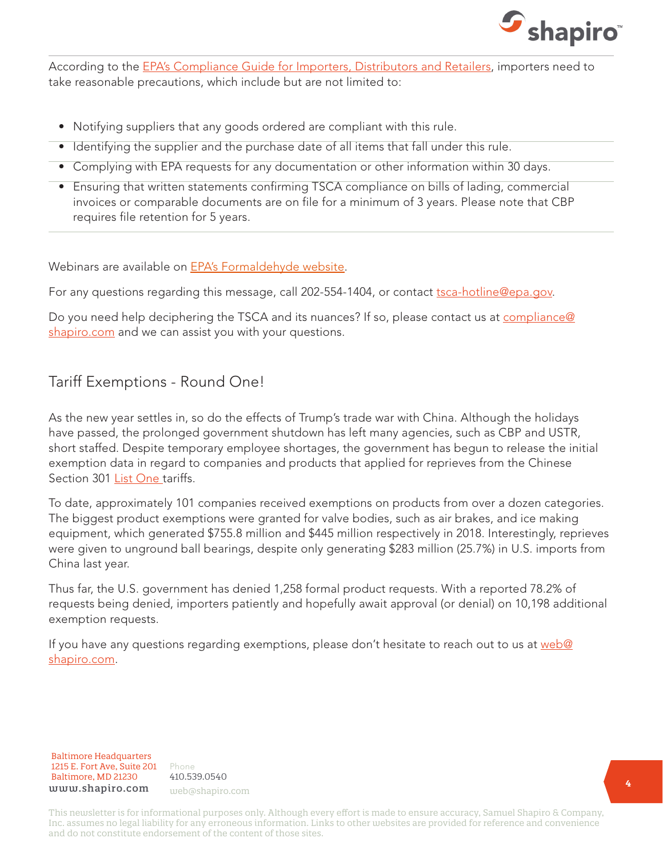

According to the [EPA's Compliance Guide for Importers, Distributors and Retailers,](https://www.epa.gov/sites/production/files/2018-06/documents/small_entity_cg_for_importers_distr_and_ret_june_2018.pdf) importers need to take reasonable precautions, which include but are not limited to:

- Notifying suppliers that any goods ordered are compliant with this rule.
- Identifying the supplier and the purchase date of all items that fall under this rule.
- Complying with EPA requests for any documentation or other information within 30 days.
- Ensuring that written statements confirming TSCA compliance on bills of lading, commercial invoices or comparable documents are on file for a minimum of 3 years. Please note that CBP requires file retention for 5 years.

Webinars are available on **[EPA's Formaldehyde website](https://www.epa.gov/formaldehyde/webinars-small-entity-compliance-formaldehyde-emission-standards-composite-wood)**.

For any questions regarding this message, call 202-554-1404, or contact [tsca-hotline@epa.gov.](mailto:tsca-hotline%40epa.gov?subject=)

Do you need help deciphering the TSCA and its nuances? If so, please contact us at [compliance@](mailto:compliance%40shapiro.com?subject=) [shapiro.com](mailto:compliance%40shapiro.com?subject=) and we can assist you with your questions.

#### Tariff Exemptions - Round One!

As the new year settles in, so do the effects of Trump's trade war with China. Although the holidays have passed, the prolonged government shutdown has left many agencies, such as CBP and USTR, short staffed. Despite temporary employee shortages, the government has begun to release the initial exemption data in regard to companies and products that applied for reprieves from the Chinese Section 301 [List One](https://www.shapiro.com/tariffs/tariff-news/) tariffs.

To date, approximately 101 companies received exemptions on products from over a dozen categories. The biggest product exemptions were granted for valve bodies, such as air brakes, and ice making equipment, which generated \$755.8 million and \$445 million respectively in 2018. Interestingly, reprieves were given to unground ball bearings, despite only generating \$283 million (25.7%) in U.S. imports from China last year.

Thus far, the U.S. government has denied 1,258 formal product requests. With a reported 78.2% of requests being denied, importers patiently and hopefully await approval (or denial) on 10,198 additional exemption requests.

If you have any questions regarding exemptions, please don't hesitate to reach out to us at [web@](mailto:web%40shapiro.com?subject=) [shapiro.com](mailto:web%40shapiro.com?subject=).

Baltimore Headquarters Baltimore Headquarters 1215 E. Fort Ave, Suite 201 1215 E. Fort Ave, Suite 201 Baltimore, MD 21230 www.shapiro.com web@shapiro.com

Phone Phone 410.539.0540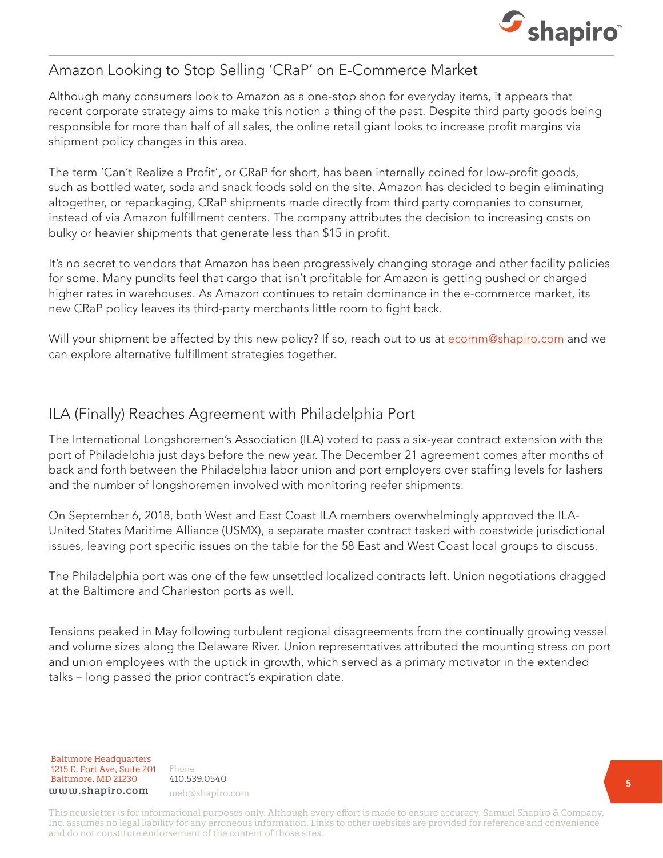

### Amazon Looking to Stop Selling 'CRaP' on E-Commerce Market

Although many consumers look to Amazon as a one-stop shop for everyday items, it appears that recent corporate strategy aims to make this notion a thing of the past. Despite third party goods being responsible for more than half of all sales, the online retail giant looks to increase profit margins via shipment policy changes in this area.

The term 'Can't Realize a Profit', or CRaP for short, has been internally coined for low-profit goods, such as bottled water, soda and snack foods sold on the site. Amazon has decided to begin eliminating altogether, or repackaging, CRaP shipments made directly from third party companies to consumer, instead of via Amazon fulfillment centers. The company attributes the decision to increasing costs on bulky or heavier shipments that generate less than \$15 in profit.

It's no secret to vendors that Amazon has been progressively changing storage and other facility policies for some. Many pundits feel that cargo that isn't profitable for Amazon is getting pushed or charged higher rates in warehouses. As Amazon continues to retain dominance in the e-commerce market, its new CRaP policy leaves its third-party merchants little room to fight back.

Will your shipment be affected by this new policy? If so, reach out to us at [ecomm@shapiro.com](mailto:ecomm%40shapiro.com?subject=) and we can explore alternative fulfillment strategies together.

## ILA (Finally) Reaches Agreement with Philadelphia Port

The International Longshoremen's Association (ILA) voted to pass a six-year contract extension with the port of Philadelphia just days before the new year. The December 21 agreement comes after months of back and forth between the Philadelphia labor union and port employers over staffing levels for lashers and the number of longshoremen involved with monitoring reefer shipments.

On September 6, 2018, both West and East Coast ILA members overwhelmingly approved the ILA-United States Maritime Alliance (USMX), a separate master contract tasked with coastwide jurisdictional issues, leaving port specific issues on the table for the 58 East and West Coast local groups to discuss.

The Philadelphia port was one of the few unsettled localized contracts left. Union negotiations dragged at the Baltimore and Charleston ports as well.

Tensions peaked in May following turbulent regional disagreements from the continually growing vessel and volume sizes along the Delaware River. Union representatives attributed the mounting stress on port and union employees with the uptick in growth, which served as a primary motivator in the extended talks – long passed the prior contract's expiration date.

Baltimore Headquarters Baltimore Headquarters 1215 E. Fort Ave, Suite 201 www.shapiro.com web@shapiro.com Baltimore, MD 21230

Phone Phone rnone<br>410.539.0540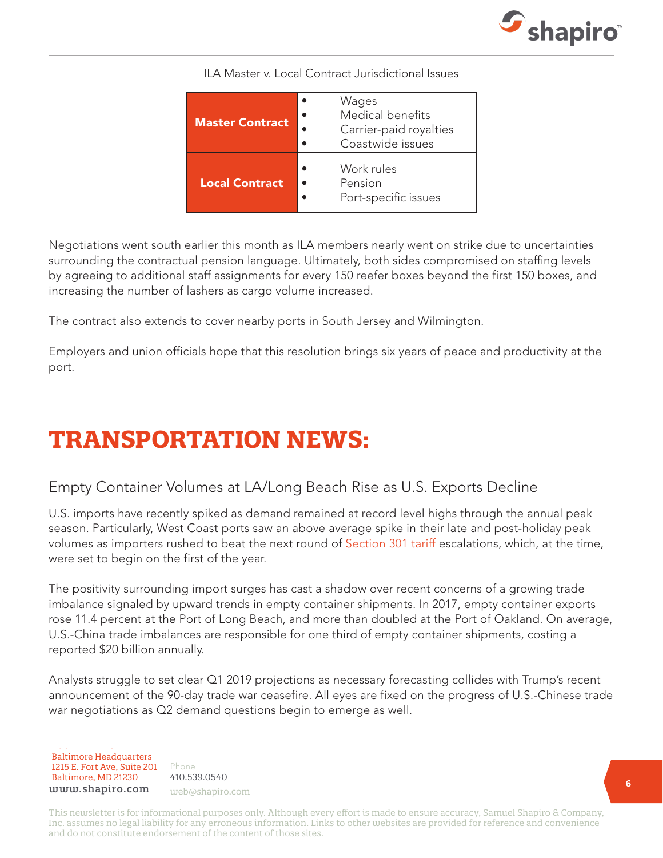

| <b>Master Contract</b> | Wages<br>Medical benefits<br>Carrier-paid royalties<br>Coastwide issues |
|------------------------|-------------------------------------------------------------------------|
| <b>Local Contract</b>  | Work rules<br>Pension<br>Port-specific issues                           |

ILA Master v. Local Contract Jurisdictional Issues

Negotiations went south earlier this month as ILA members nearly went on strike due to uncertainties surrounding the contractual pension language. Ultimately, both sides compromised on staffing levels by agreeing to additional staff assignments for every 150 reefer boxes beyond the first 150 boxes, and increasing the number of lashers as cargo volume increased.

The contract also extends to cover nearby ports in South Jersey and Wilmington.

Employers and union officials hope that this resolution brings six years of peace and productivity at the port.

# **TRANSPORTATION NEWS:**

### Empty Container Volumes at LA/Long Beach Rise as U.S. Exports Decline

U.S. imports have recently spiked as demand remained at record level highs through the annual peak season. Particularly, West Coast ports saw an above average spike in their late and post-holiday peak volumes as importers rushed to beat the next round of **Section 301 tariff** escalations, which, at the time, were set to begin on the first of the year.

The positivity surrounding import surges has cast a shadow over recent concerns of a growing trade imbalance signaled by upward trends in empty container shipments. In 2017, empty container exports rose 11.4 percent at the Port of Long Beach, and more than doubled at the Port of Oakland. On average, U.S.-China trade imbalances are responsible for one third of empty container shipments, costing a reported \$20 billion annually.

Analysts struggle to set clear Q1 2019 projections as necessary forecasting collides with Trump's recent announcement of the 90-day trade war ceasefire. All eyes are fixed on the progress of U.S.-Chinese trade war negotiations as Q2 demand questions begin to emerge as well.

Baltimore Headquarters Baltimore Headquarters 1215 E. Fort Ave, Suite 201 1215 E. Fort Ave, Suite 201 Baltimore, MD 21230 www.shapiro.com

Phone Phone 410.539.0540 web@shapiro.com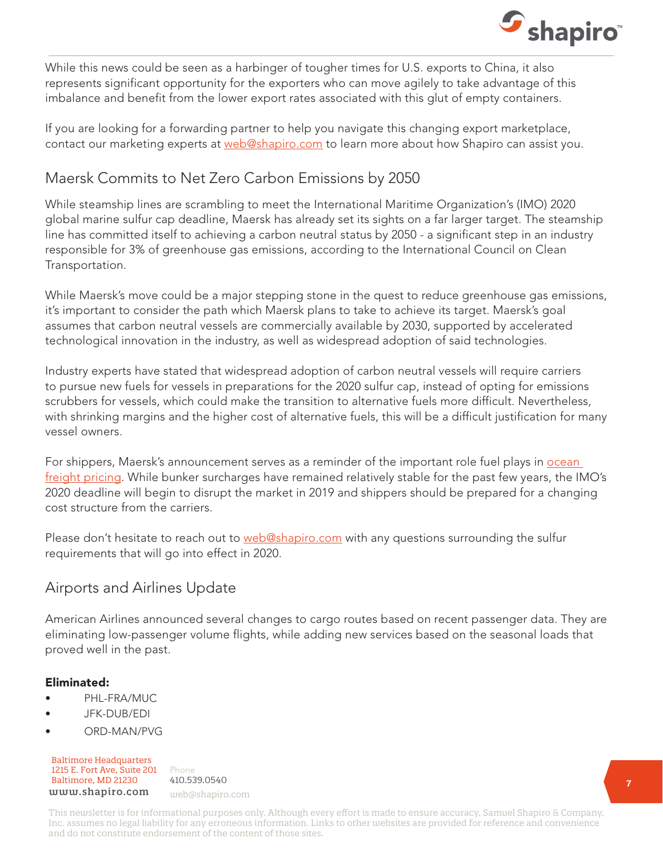

While this news could be seen as a harbinger of tougher times for U.S. exports to China, it also represents significant opportunity for the exporters who can move agilely to take advantage of this imbalance and benefit from the lower export rates associated with this glut of empty containers.

If you are looking for a forwarding partner to help you navigate this changing export marketplace, contact our marketing experts at [web@shapiro.com](mailto:web%40shapiro.com?subject=) to learn more about how Shapiro can assist you.

## Maersk Commits to Net Zero Carbon Emissions by 2050

While steamship lines are scrambling to meet the International Maritime Organization's (IMO) 2020 global marine sulfur cap deadline, Maersk has already set its sights on a far larger target. The steamship line has committed itself to achieving a carbon neutral status by 2050 - a significant step in an industry responsible for 3% of greenhouse gas emissions, according to the International Council on Clean Transportation.

While Maersk's move could be a major stepping stone in the quest to reduce greenhouse gas emissions, it's important to consider the path which Maersk plans to take to achieve its target. Maersk's goal assumes that carbon neutral vessels are commercially available by 2030, supported by accelerated technological innovation in the industry, as well as widespread adoption of said technologies.

Industry experts have stated that widespread adoption of carbon neutral vessels will require carriers to pursue new fuels for vessels in preparations for the 2020 sulfur cap, instead of opting for emissions scrubbers for vessels, which could make the transition to alternative fuels more difficult. Nevertheless, with shrinking margins and the higher cost of alternative fuels, this will be a difficult justification for many vessel owners.

For shippers, Maersk's announcement serves as a reminder of the important role fuel plays in **ocean** [freight pricing](https://www.shapiro.com/newsletters/october-2018-issue-198/#st-3). While bunker surcharges have remained relatively stable for the past few years, the IMO's 2020 deadline will begin to disrupt the market in 2019 and shippers should be prepared for a changing cost structure from the carriers.

Please don't hesitate to reach out to [web@shapiro.com](mailto:web%40shapiro.com?subject=) with any questions surrounding the sulfur requirements that will go into effect in 2020.

### Airports and Airlines Update

American Airlines announced several changes to cargo routes based on recent passenger data. They are eliminating low-passenger volume flights, while adding new services based on the seasonal loads that proved well in the past.

#### Eliminated:

- PHL-FRA/MUC
- JFK-DUB/EDI
- ORD-MAN/PVG

Baltimore Headquarters Baltimore Headquarters 1215 E. Fort Ave, Suite 201 www.shapiro.com web@shapiro.com Baltimore, MD 21230

Phone 410.539.0540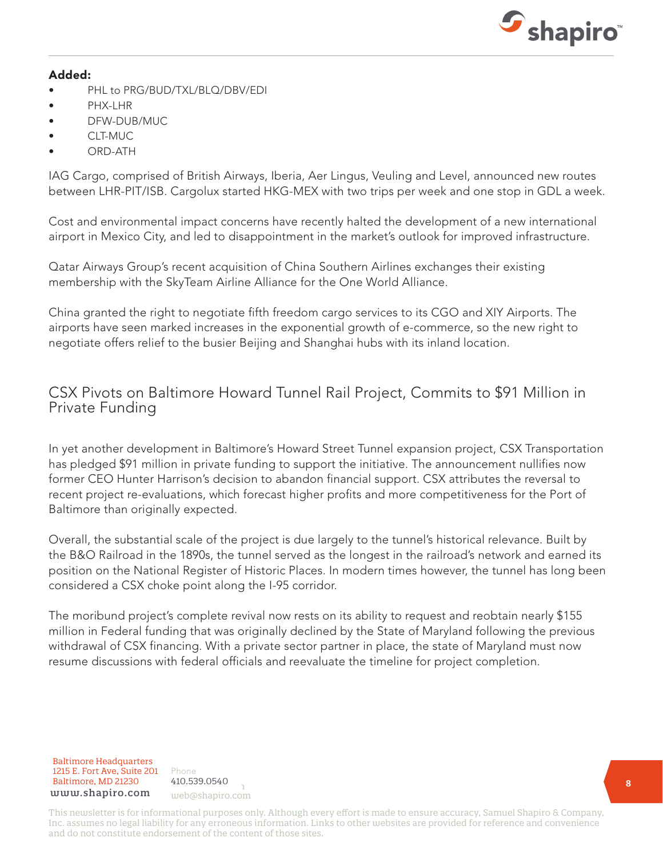

#### Added:

- PHL to PRG/BUD/TXL/BLQ/DBV/EDI
- PHX-LHR
- DFW-DUB/MUC
- CLT-MUC
- ORD-ATH

IAG Cargo, comprised of British Airways, Iberia, Aer Lingus, Veuling and Level, announced new routes between LHR-PIT/ISB. Cargolux started HKG-MEX with two trips per week and one stop in GDL a week.

Cost and environmental impact concerns have recently halted the development of a new international airport in Mexico City, and led to disappointment in the market's outlook for improved infrastructure.

Qatar Airways Group's recent acquisition of China Southern Airlines exchanges their existing membership with the SkyTeam Airline Alliance for the One World Alliance.

China granted the right to negotiate fifth freedom cargo services to its CGO and XIY Airports. The airports have seen marked increases in the exponential growth of e-commerce, so the new right to negotiate offers relief to the busier Beijing and Shanghai hubs with its inland location.

#### CSX Pivots on Baltimore Howard Tunnel Rail Project, Commits to \$91 Million in Private Funding

In yet another development in Baltimore's Howard Street Tunnel expansion project, CSX Transportation has pledged \$91 million in private funding to support the initiative. The announcement nullifies now former CEO Hunter Harrison's decision to abandon financial support. CSX attributes the reversal to recent project re-evaluations, which forecast higher profits and more competitiveness for the Port of Baltimore than originally expected.

Overall, the substantial scale of the project is due largely to the tunnel's historical relevance. Built by the B&O Railroad in the 1890s, the tunnel served as the longest in the railroad's network and earned its position on the National Register of Historic Places. In modern times however, the tunnel has long been considered a CSX choke point along the I-95 corridor.

The moribund project's complete revival now rests on its ability to request and reobtain nearly \$155 million in Federal funding that was originally declined by the State of Maryland following the previous withdrawal of CSX financing. With a private sector partner in place, the state of Maryland must now resume discussions with federal officials and reevaluate the timeline for project completion.

Baltimore Headquarters 1215 E. Fort Ave, Suite 201 **Baltimore, MD 21230** 410.539.0540 www.shapiro.com web@shapiro.com

Phone 410.539.0540